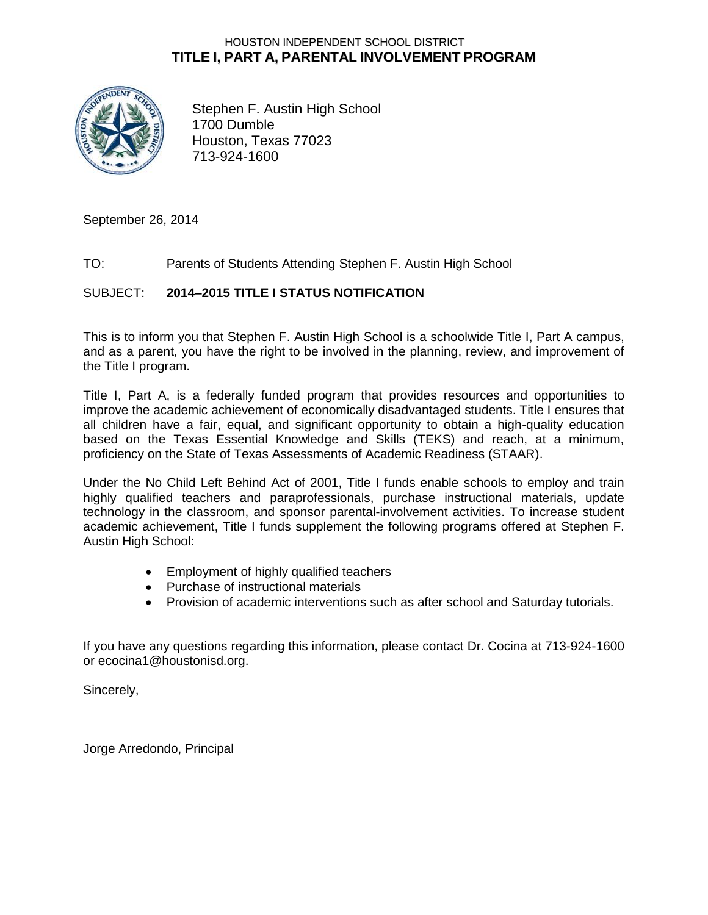## HOUSTON INDEPENDENT SCHOOL DISTRICT **TITLE I, PART A, PARENTAL INVOLVEMENT PROGRAM**



Stephen F. Austin High School 1700 Dumble Houston, Texas 77023 713-924-1600

September 26, 2014

#### TO: Parents of Students Attending Stephen F. Austin High School

#### SUBJECT: **2014–2015 TITLE I STATUS NOTIFICATION**

This is to inform you that Stephen F. Austin High School is a schoolwide Title I, Part A campus, and as a parent, you have the right to be involved in the planning, review, and improvement of the Title I program.

Title I, Part A, is a federally funded program that provides resources and opportunities to improve the academic achievement of economically disadvantaged students. Title I ensures that all children have a fair, equal, and significant opportunity to obtain a high-quality education based on the Texas Essential Knowledge and Skills (TEKS) and reach, at a minimum, proficiency on the State of Texas Assessments of Academic Readiness (STAAR).

Under the No Child Left Behind Act of 2001, Title I funds enable schools to employ and train highly qualified teachers and paraprofessionals, purchase instructional materials, update technology in the classroom, and sponsor parental-involvement activities. To increase student academic achievement, Title I funds supplement the following programs offered at Stephen F. Austin High School:

- Employment of highly qualified teachers
- Purchase of instructional materials
- Provision of academic interventions such as after school and Saturday tutorials.

If you have any questions regarding this information, please contact Dr. Cocina at 713-924-1600 or ecocina1@houstonisd.org.

Sincerely,

Jorge Arredondo, Principal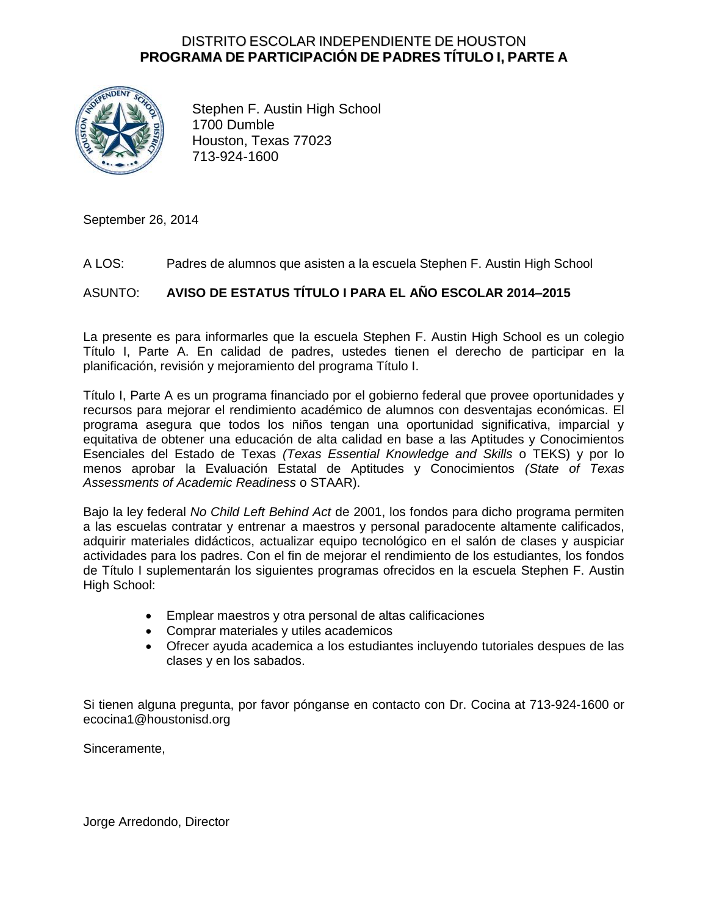## DISTRITO ESCOLAR INDEPENDIENTE DE HOUSTON **PROGRAMA DE PARTICIPACIÓN DE PADRES TÍTULO I, PARTE A**



Stephen F. Austin High School 1700 Dumble Houston, Texas 77023 713-924-1600

September 26, 2014

#### A LOS: Padres de alumnos que asisten a la escuela Stephen F. Austin High School

## ASUNTO: **AVISO DE ESTATUS TÍTULO I PARA EL AÑO ESCOLAR 2014–2015**

La presente es para informarles que la escuela Stephen F. Austin High School es un colegio Título I, Parte A. En calidad de padres, ustedes tienen el derecho de participar en la planificación, revisión y mejoramiento del programa Título I.

Título I, Parte A es un programa financiado por el gobierno federal que provee oportunidades y recursos para mejorar el rendimiento académico de alumnos con desventajas económicas. El programa asegura que todos los niños tengan una oportunidad significativa, imparcial y equitativa de obtener una educación de alta calidad en base a las Aptitudes y Conocimientos Esenciales del Estado de Texas *(Texas Essential Knowledge and Skills* o TEKS) y por lo menos aprobar la Evaluación Estatal de Aptitudes y Conocimientos *(State of Texas Assessments of Academic Readiness* o STAAR).

Bajo la ley federal *No Child Left Behind Act* de 2001, los fondos para dicho programa permiten a las escuelas contratar y entrenar a maestros y personal paradocente altamente calificados, adquirir materiales didácticos, actualizar equipo tecnológico en el salón de clases y auspiciar actividades para los padres. Con el fin de mejorar el rendimiento de los estudiantes, los fondos de Título I suplementarán los siguientes programas ofrecidos en la escuela Stephen F. Austin High School:

- Emplear maestros y otra personal de altas calificaciones
- Comprar materiales y utiles academicos
- Ofrecer ayuda academica a los estudiantes incluyendo tutoriales despues de las clases y en los sabados.

Si tienen alguna pregunta, por favor pónganse en contacto con Dr. Cocina at 713-924-1600 or ecocina1@houstonisd.org

Sinceramente,

Jorge Arredondo, Director